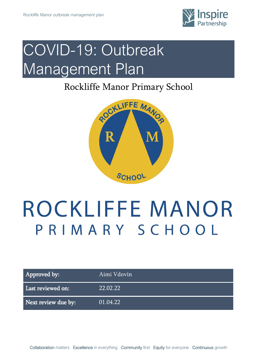

## COVID-19: Outbreak Management Plan

### Rockliffe Manor Primary School



# ROCKLIFFE MANOR PRIMARY SCHOOL

Approved by: Aimi Vdovin Last reviewed on: 22.02.22

Next review due by: 01.04.22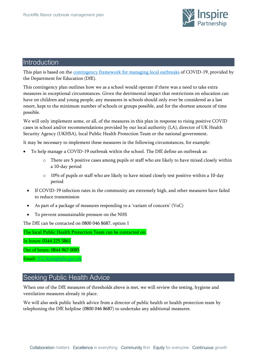

#### **Introduction**

This plan is based on th[e contingency framework for managing local outbreaks](https://www.gov.uk/government/publications/coronavirus-covid-19-local-restrictions-in-education-and-childcare-settings) of COVID-19, provided by the Department for Education (DfE).

This contingency plan outlines how we as a school would operate if there was a need to take extra measures in exceptional circumstances. Given the detrimental impact that restrictions on education can have on children and young people, any measures in schools should only ever be considered as a last resort, kept to the minimum number of schools or groups possible, and for the shortest amount of time possible.

We will only implement some, or all, of the measures in this plan in response to rising positive COVID cases in school and/or recommendations provided by our local authority (LA), director of UK Health Security Agency (UKHSA), local Public Health Protection Team or the national government.

It may be necessary to implement these measures in the following circumstances, for example:

- To help manage a COVID-19 outbreak within the school. The DfE define an outbreak as:
	- o There are 5 positive cases among pupils or staff who are likely to have mixed closely within a 10-day period
	- o 10% of pupils or staff who are likely to have mixed closely test positive within a 10-day period
	- If COVID-19 infection rates in the community are extremely high, and other measures have failed to reduce transmission
	- As part of a package of measures responding to a 'variant of concern' (VoC)
	- To prevent unsustainable pressure on the NHS

The DfE can be contacted on 0800 046 8687, option 1

The local Public Health Protection Team can be contacted on:

In hours: 0344 225 3861

Out of hours: 0844 967 0085

Email: [ICC.Kent@phe.gov.uk](mailto:ICC.Kent@phe.gov.uk)

#### Seeking Public Health Advice

When one of the DfE measures of thresholds above is met, we will review the testing, hygiene and ventilation measures already in place.

We will also seek public health advice from a director of public health or health protection team by telephoning the DfE helpline (0800 046 8687) to undertake any additional measures.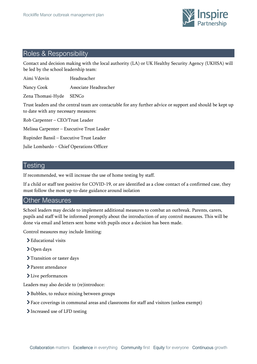

#### Roles & Responsibility

Contact and decision making with the local authority (LA) or UK Healthy Security Agency (UKHSA) will be led by the school leadership team:

Aimi Vdovin Headteacher

Nancy Cook Associate Headteacher

Zena Thomasi-Hyde SENCo

Trust leaders and the central team are contactable for any further advice or support and should be kept up to date with any necessary measures:

Rob Carpenter – CEO/Trust Leader

Melissa Carpenter – Executive Trust Leader

Rupinder Bansil – Executive Trust Leader

Julie Lombardo – Chief Operations Officer

#### **Testing**

If recommended, we will increase the use of home testing by staff.

If a child or staff test positive for COVID-19, or are identified as a close contact of a confirmed case, they must follow the most up-to-date guidance around isolation

#### Other Measures

School leaders may decide to implement additional measures to combat an outbreak. Parents, carers, pupils and staff will be informed promptly about the introduction of any control measures. This will be done via email and letters sent home with pupils once a decision has been made.

Control measures may include limiting:

- > Educational visits
- **>**Open days
- > Transition or taster days
- > Parent attendance
- > Live performances

Leaders may also decide to (re)introduce:

- Bubbles, to reduce mixing between groups
- Face coverings in communal areas and classrooms for staff and visitors (unless exempt)
- > Increased use of LFD testing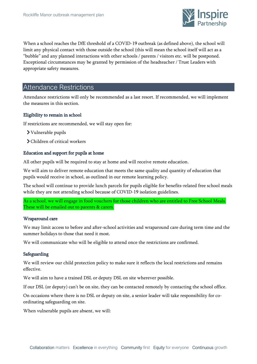

When a school reaches the DfE threshold of a COVID-19 outbreak (as defined above), the school will limit any physical contact with those outside the school (this will mean the school itself will act as a "bubble" and any planned interactions with other schools / parents / visitors etc. will be postponed. Exceptional circumstances may be granted by permission of the headteacher / Trust Leaders with appropriate safety measures.

#### Attendance Restrictions

Attendance restrictions will only be recommended as a last resort. If recommended, we will implement the measures in this section.

#### Eligibility to remain in school

If restrictions are recommended, we will stay open for:

- Vulnerable pupils
- Children of critical workers

#### Education and support for pupils at home

All other pupils will be required to stay at home and will receive remote education.

We will aim to deliver remote education that meets the same quality and quantity of education that pupils would receive in school, as outlined in our remote learning policy.

The school will continue to provide lunch parcels for pupils eligible for benefits-related free school meals while they are not attending school because of COVID-19 isolation guidelines.

As a school, we will engage in food vouchers for those children who are entitled to Free School Meals. These will be emailed out to parents & carers.

#### Wraparound care

We may limit access to before and after-school activities and wraparound care during term time and the summer holidays to those that need it most.

We will communicate who will be eligible to attend once the restrictions are confirmed.

#### Safeguarding

We will review our child protection policy to make sure it reflects the local restrictions and remains effective.

We will aim to have a trained DSL or deputy DSL on site wherever possible.

If our DSL (or deputy) can't be on site, they can be contacted remotely by contacting the school office.

On occasions where there is no DSL or deputy on site, a senior leader will take responsibility for coordinating safeguarding on site.

When vulnerable pupils are absent, we will: